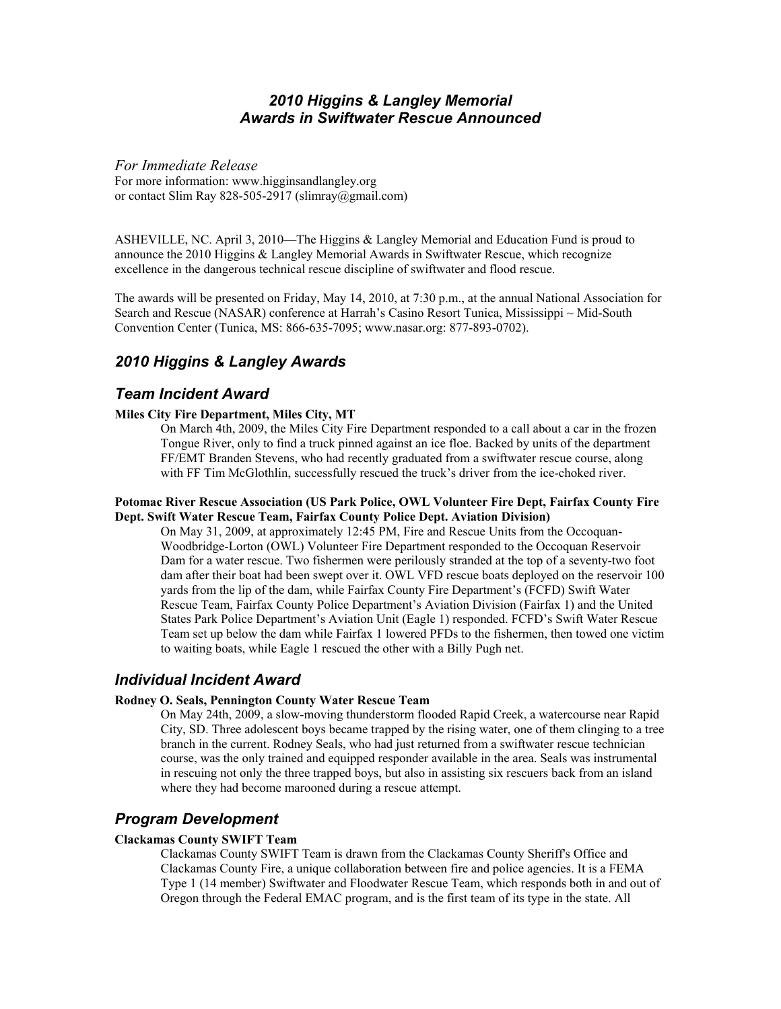## *2010 Higgins & Langley Memorial Awards in Swiftwater Rescue Announced*

*For Immediate Release*  For more information: www.higginsandlangley.org or contact Slim Ray 828-505-2917 (slimray@gmail.com)

ASHEVILLE, NC. April 3, 2010—The Higgins & Langley Memorial and Education Fund is proud to announce the 2010 Higgins & Langley Memorial Awards in Swiftwater Rescue, which recognize excellence in the dangerous technical rescue discipline of swiftwater and flood rescue.

The awards will be presented on Friday, May 14, 2010, at 7:30 p.m., at the annual National Association for Search and Rescue (NASAR) conference at Harrah's Casino Resort Tunica, Mississippi ~ Mid-South Convention Center (Tunica, MS: 866-635-7095; www.nasar.org: 877-893-0702).

# *2010 Higgins & Langley Awards*

## *Team Incident Award*

### **Miles City Fire Department, Miles City, MT**

 On March 4th, 2009, the Miles City Fire Department responded to a call about a car in the frozen Tongue River, only to find a truck pinned against an ice floe. Backed by units of the department FF/EMT Branden Stevens, who had recently graduated from a swiftwater rescue course, along with FF Tim McGlothlin, successfully rescued the truck's driver from the ice-choked river.

#### **Potomac River Rescue Association (US Park Police, OWL Volunteer Fire Dept, Fairfax County Fire Dept. Swift Water Rescue Team, Fairfax County Police Dept. Aviation Division)**

 On May 31, 2009, at approximately 12:45 PM, Fire and Rescue Units from the Occoquan-Woodbridge-Lorton (OWL) Volunteer Fire Department responded to the Occoquan Reservoir Dam for a water rescue. Two fishermen were perilously stranded at the top of a seventy-two foot dam after their boat had been swept over it. OWL VFD rescue boats deployed on the reservoir 100 yards from the lip of the dam, while Fairfax County Fire Department's (FCFD) Swift Water Rescue Team, Fairfax County Police Department's Aviation Division (Fairfax 1) and the United States Park Police Department's Aviation Unit (Eagle 1) responded. FCFD's Swift Water Rescue Team set up below the dam while Fairfax 1 lowered PFDs to the fishermen, then towed one victim to waiting boats, while Eagle 1 rescued the other with a Billy Pugh net.

## *Individual Incident Award*

### **Rodney O. Seals, Pennington County Water Rescue Team**

On May 24th, 2009, a slow-moving thunderstorm flooded Rapid Creek, a watercourse near Rapid City, SD. Three adolescent boys became trapped by the rising water, one of them clinging to a tree branch in the current. Rodney Seals, who had just returned from a swiftwater rescue technician course, was the only trained and equipped responder available in the area. Seals was instrumental in rescuing not only the three trapped boys, but also in assisting six rescuers back from an island where they had become marooned during a rescue attempt.

## *Program Development*

### **Clackamas County SWIFT Team**

Clackamas County SWIFT Team is drawn from the Clackamas County Sheriff's Office and Clackamas County Fire, a unique collaboration between fire and police agencies. It is a FEMA Type 1 (14 member) Swiftwater and Floodwater Rescue Team, which responds both in and out of Oregon through the Federal EMAC program, and is the first team of its type in the state. All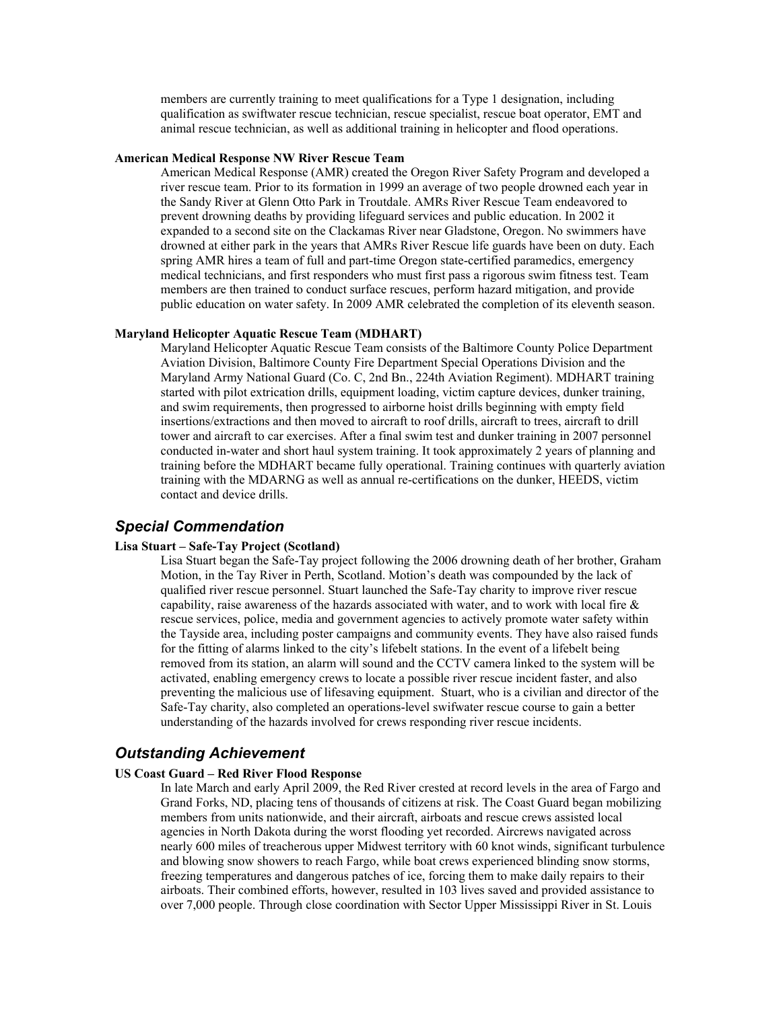members are currently training to meet qualifications for a Type 1 designation, including qualification as swiftwater rescue technician, rescue specialist, rescue boat operator, EMT and animal rescue technician, as well as additional training in helicopter and flood operations.

#### **American Medical Response NW River Rescue Team**

 American Medical Response (AMR) created the Oregon River Safety Program and developed a river rescue team. Prior to its formation in 1999 an average of two people drowned each year in the Sandy River at Glenn Otto Park in Troutdale. AMRs River Rescue Team endeavored to prevent drowning deaths by providing lifeguard services and public education. In 2002 it expanded to a second site on the Clackamas River near Gladstone, Oregon. No swimmers have drowned at either park in the years that AMRs River Rescue life guards have been on duty. Each spring AMR hires a team of full and part-time Oregon state-certified paramedics, emergency medical technicians, and first responders who must first pass a rigorous swim fitness test. Team members are then trained to conduct surface rescues, perform hazard mitigation, and provide public education on water safety. In 2009 AMR celebrated the completion of its eleventh season.

#### **Maryland Helicopter Aquatic Rescue Team (MDHART)**

 Maryland Helicopter Aquatic Rescue Team consists of the Baltimore County Police Department Aviation Division, Baltimore County Fire Department Special Operations Division and the Maryland Army National Guard (Co. C, 2nd Bn., 224th Aviation Regiment). MDHART training started with pilot extrication drills, equipment loading, victim capture devices, dunker training, and swim requirements, then progressed to airborne hoist drills beginning with empty field insertions/extractions and then moved to aircraft to roof drills, aircraft to trees, aircraft to drill tower and aircraft to car exercises. After a final swim test and dunker training in 2007 personnel conducted in-water and short haul system training. It took approximately 2 years of planning and training before the MDHART became fully operational. Training continues with quarterly aviation training with the MDARNG as well as annual re-certifications on the dunker, HEEDS, victim contact and device drills.

## *Special Commendation*

#### **Lisa Stuart – Safe-Tay Project (Scotland)**

 Lisa Stuart began the Safe-Tay project following the 2006 drowning death of her brother, Graham Motion, in the Tay River in Perth, Scotland. Motion's death was compounded by the lack of qualified river rescue personnel. Stuart launched the Safe-Tay charity to improve river rescue capability, raise awareness of the hazards associated with water, and to work with local fire & rescue services, police, media and government agencies to actively promote water safety within the Tayside area, including poster campaigns and community events. They have also raised funds for the fitting of alarms linked to the city's lifebelt stations. In the event of a lifebelt being removed from its station, an alarm will sound and the CCTV camera linked to the system will be activated, enabling emergency crews to locate a possible river rescue incident faster, and also preventing the malicious use of lifesaving equipment. Stuart, who is a civilian and director of the Safe-Tay charity, also completed an operations-level swifwater rescue course to gain a better understanding of the hazards involved for crews responding river rescue incidents.

### *Outstanding Achievement*

#### **US Coast Guard – Red River Flood Response**

In late March and early April 2009, the Red River crested at record levels in the area of Fargo and Grand Forks, ND, placing tens of thousands of citizens at risk. The Coast Guard began mobilizing members from units nationwide, and their aircraft, airboats and rescue crews assisted local agencies in North Dakota during the worst flooding yet recorded. Aircrews navigated across nearly 600 miles of treacherous upper Midwest territory with 60 knot winds, significant turbulence and blowing snow showers to reach Fargo, while boat crews experienced blinding snow storms, freezing temperatures and dangerous patches of ice, forcing them to make daily repairs to their airboats. Their combined efforts, however, resulted in 103 lives saved and provided assistance to over 7,000 people. Through close coordination with Sector Upper Mississippi River in St. Louis